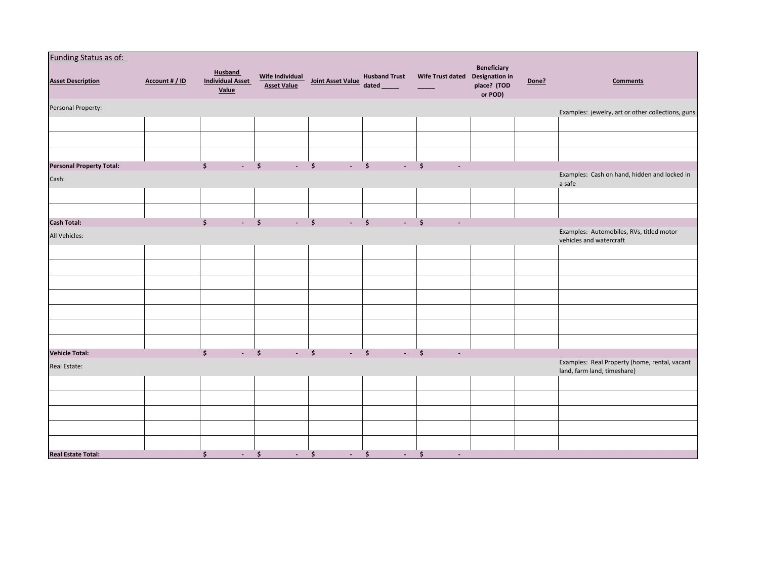| <b>Funding Status as of:</b>    |                |                                                    |                                           |                                            |                                      |                                                 |                                       |       |                                                                              |
|---------------------------------|----------------|----------------------------------------------------|-------------------------------------------|--------------------------------------------|--------------------------------------|-------------------------------------------------|---------------------------------------|-------|------------------------------------------------------------------------------|
| <b>Asset Description</b>        | Account # / ID | <b>Husband</b><br><b>Individual Asset</b><br>Value | Wife Individual<br>Asset Value            | Joint Asset Value                          | <b>Husband Trust</b><br>dated ______ | Wife Trust dated Designation in                 | Beneficiary<br>place? (TOD<br>or POD) | Done? | <b>Comments</b>                                                              |
| Personal Property:              |                |                                                    |                                           |                                            |                                      |                                                 |                                       |       | Examples: jewelry, art or other collections, guns                            |
|                                 |                |                                                    |                                           |                                            |                                      |                                                 |                                       |       |                                                                              |
|                                 |                |                                                    |                                           |                                            |                                      |                                                 |                                       |       |                                                                              |
|                                 |                |                                                    |                                           |                                            |                                      |                                                 |                                       |       |                                                                              |
| <b>Personal Property Total:</b> |                | \$<br>$\blacksquare$                               | $\ddot{\bm{\zeta}}$<br>$\sim$             | \$<br>$\sim$                               | $\ddot{\bm{s}}$<br>$\sim$            | \$                                              |                                       |       | Examples: Cash on hand, hidden and locked in                                 |
| Cash:                           |                |                                                    |                                           |                                            |                                      |                                                 |                                       |       | a safe                                                                       |
|                                 |                |                                                    |                                           |                                            |                                      |                                                 |                                       |       |                                                                              |
|                                 |                |                                                    |                                           |                                            |                                      |                                                 |                                       |       |                                                                              |
| <b>Cash Total:</b>              |                | \$<br>$\mathcal{L}_{\mathrm{max}}$                 | $\ddot{\bm{s}}$<br>$\Delta \sim 10^4$     | $\ddot{\bm{\zeta}}$<br>$\omega_{\rm{eff}}$ | $\dot{\mathsf{s}}$<br>$\sim$         | $\ddot{\bm{\zeta}}$                             |                                       |       |                                                                              |
| All Vehicles:                   |                |                                                    |                                           |                                            |                                      |                                                 |                                       |       | Examples: Automobiles, RVs, titled motor<br>vehicles and watercraft          |
|                                 |                |                                                    |                                           |                                            |                                      |                                                 |                                       |       |                                                                              |
|                                 |                |                                                    |                                           |                                            |                                      |                                                 |                                       |       |                                                                              |
|                                 |                |                                                    |                                           |                                            |                                      |                                                 |                                       |       |                                                                              |
|                                 |                |                                                    |                                           |                                            |                                      |                                                 |                                       |       |                                                                              |
|                                 |                |                                                    |                                           |                                            |                                      |                                                 |                                       |       |                                                                              |
|                                 |                |                                                    |                                           |                                            |                                      |                                                 |                                       |       |                                                                              |
|                                 |                |                                                    |                                           |                                            |                                      |                                                 |                                       |       |                                                                              |
| <b>Vehicle Total:</b>           |                | \$<br>$\Box$                                       | $\ddot{\bm{\zeta}}$<br>$\Delta \sim 10^4$ | $\ddot{\mathsf{s}}$<br>$-5$                | $\mathbb{Z}^2$                       | $\ddot{\bm{\zeta}}$<br>$\overline{\phantom{a}}$ |                                       |       |                                                                              |
| Real Estate:                    |                |                                                    |                                           |                                            |                                      |                                                 |                                       |       | Examples: Real Property (home, rental, vacant<br>land, farm land, timeshare) |
|                                 |                |                                                    |                                           |                                            |                                      |                                                 |                                       |       |                                                                              |
|                                 |                |                                                    |                                           |                                            |                                      |                                                 |                                       |       |                                                                              |
|                                 |                |                                                    |                                           |                                            |                                      |                                                 |                                       |       |                                                                              |
|                                 |                |                                                    |                                           |                                            |                                      |                                                 |                                       |       |                                                                              |
|                                 |                |                                                    |                                           |                                            |                                      |                                                 |                                       |       |                                                                              |
| <b>Real Estate Total:</b>       |                | \$<br>$\sim$                                       | \$<br>$\sim 100$                          | \$<br>$\sim$                               | \$<br>$\sim 100$                     | \$<br>$\overline{\phantom{a}}$                  |                                       |       |                                                                              |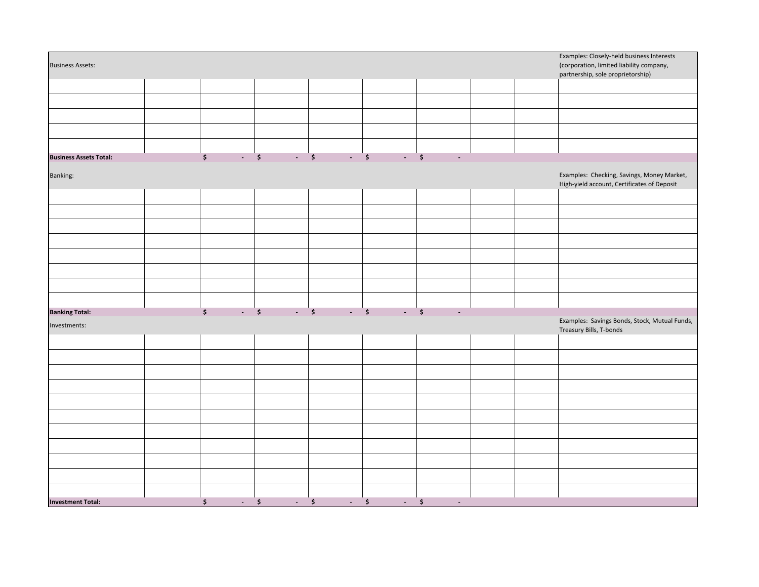|                                                                                |  |                                          |  |                    |      |        |  |  | Examples: Closely-held business Interests                                                 |
|--------------------------------------------------------------------------------|--|------------------------------------------|--|--------------------|------|--------|--|--|-------------------------------------------------------------------------------------------|
| <b>Business Assets:</b>                                                        |  |                                          |  |                    |      |        |  |  | (corporation, limited liability company,                                                  |
|                                                                                |  |                                          |  |                    |      |        |  |  | partnership, sole proprietorship)                                                         |
|                                                                                |  |                                          |  |                    |      |        |  |  |                                                                                           |
|                                                                                |  |                                          |  |                    |      |        |  |  |                                                                                           |
|                                                                                |  |                                          |  |                    |      |        |  |  |                                                                                           |
|                                                                                |  |                                          |  |                    |      |        |  |  |                                                                                           |
|                                                                                |  |                                          |  |                    |      |        |  |  |                                                                                           |
| <b>Business Assets Total:</b>                                                  |  | $\ddot{\bm{\zeta}}$<br>$\sim$ $\sqrt{5}$ |  | $\cdot$ \$<br>$-5$ | $-5$ |        |  |  |                                                                                           |
|                                                                                |  |                                          |  |                    |      |        |  |  |                                                                                           |
| Banking:                                                                       |  |                                          |  |                    |      |        |  |  | Examples: Checking, Savings, Money Market,<br>High-yield account, Certificates of Deposit |
|                                                                                |  |                                          |  |                    |      |        |  |  |                                                                                           |
|                                                                                |  |                                          |  |                    |      |        |  |  |                                                                                           |
|                                                                                |  |                                          |  |                    |      |        |  |  |                                                                                           |
|                                                                                |  |                                          |  |                    |      |        |  |  |                                                                                           |
|                                                                                |  |                                          |  |                    |      |        |  |  |                                                                                           |
|                                                                                |  |                                          |  |                    |      |        |  |  |                                                                                           |
|                                                                                |  |                                          |  |                    |      |        |  |  |                                                                                           |
|                                                                                |  |                                          |  |                    |      |        |  |  |                                                                                           |
|                                                                                |  |                                          |  |                    |      |        |  |  |                                                                                           |
| $ 5$ $ 5$ $ 5$ $ 5$<br>$\mathsf{S}$<br><b>Banking Total:</b><br>$\blacksquare$ |  |                                          |  |                    |      |        |  |  |                                                                                           |
| Investments:                                                                   |  |                                          |  |                    |      |        |  |  | Examples: Savings Bonds, Stock, Mutual Funds,<br>Treasury Bills, T-bonds                  |
|                                                                                |  |                                          |  |                    |      |        |  |  |                                                                                           |
|                                                                                |  |                                          |  |                    |      |        |  |  |                                                                                           |
|                                                                                |  |                                          |  |                    |      |        |  |  |                                                                                           |
|                                                                                |  |                                          |  |                    |      |        |  |  |                                                                                           |
|                                                                                |  |                                          |  |                    |      |        |  |  |                                                                                           |
|                                                                                |  |                                          |  |                    |      |        |  |  |                                                                                           |
|                                                                                |  |                                          |  |                    |      |        |  |  |                                                                                           |
|                                                                                |  |                                          |  |                    |      |        |  |  |                                                                                           |
|                                                                                |  |                                          |  |                    |      |        |  |  |                                                                                           |
|                                                                                |  |                                          |  |                    |      |        |  |  |                                                                                           |
|                                                                                |  |                                          |  |                    |      |        |  |  |                                                                                           |
|                                                                                |  |                                          |  |                    |      |        |  |  |                                                                                           |
|                                                                                |  |                                          |  |                    |      |        |  |  |                                                                                           |
| <b>Investment Total:</b>                                                       |  | \$<br>$-5$                               |  | $ 5$ $ 5$ $ 5$     |      | $\sim$ |  |  |                                                                                           |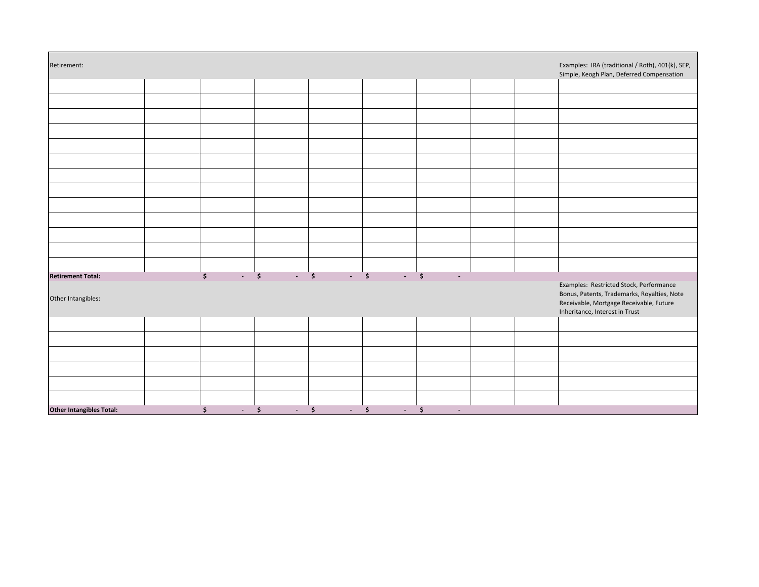| Retirement:                                    |  |                                                                                                                                                                                                                                                                                                                                                                                                                                            |  |  | Examples: IRA (traditional / Roth), 401(k), SEP,<br>Simple, Keogh Plan, Deferred Compensation                                                                       |
|------------------------------------------------|--|--------------------------------------------------------------------------------------------------------------------------------------------------------------------------------------------------------------------------------------------------------------------------------------------------------------------------------------------------------------------------------------------------------------------------------------------|--|--|---------------------------------------------------------------------------------------------------------------------------------------------------------------------|
|                                                |  |                                                                                                                                                                                                                                                                                                                                                                                                                                            |  |  |                                                                                                                                                                     |
|                                                |  |                                                                                                                                                                                                                                                                                                                                                                                                                                            |  |  |                                                                                                                                                                     |
|                                                |  |                                                                                                                                                                                                                                                                                                                                                                                                                                            |  |  |                                                                                                                                                                     |
|                                                |  |                                                                                                                                                                                                                                                                                                                                                                                                                                            |  |  |                                                                                                                                                                     |
|                                                |  |                                                                                                                                                                                                                                                                                                                                                                                                                                            |  |  |                                                                                                                                                                     |
|                                                |  |                                                                                                                                                                                                                                                                                                                                                                                                                                            |  |  |                                                                                                                                                                     |
|                                                |  |                                                                                                                                                                                                                                                                                                                                                                                                                                            |  |  |                                                                                                                                                                     |
|                                                |  |                                                                                                                                                                                                                                                                                                                                                                                                                                            |  |  |                                                                                                                                                                     |
|                                                |  |                                                                                                                                                                                                                                                                                                                                                                                                                                            |  |  |                                                                                                                                                                     |
|                                                |  |                                                                                                                                                                                                                                                                                                                                                                                                                                            |  |  |                                                                                                                                                                     |
|                                                |  |                                                                                                                                                                                                                                                                                                                                                                                                                                            |  |  |                                                                                                                                                                     |
|                                                |  |                                                                                                                                                                                                                                                                                                                                                                                                                                            |  |  |                                                                                                                                                                     |
|                                                |  |                                                                                                                                                                                                                                                                                                                                                                                                                                            |  |  |                                                                                                                                                                     |
|                                                |  |                                                                                                                                                                                                                                                                                                                                                                                                                                            |  |  |                                                                                                                                                                     |
| <b>Retirement Total:</b><br>Other Intangibles: |  | $\begin{array}{ccccccccccccccccc} \texttt{S} & & \texttt{S} & & \texttt{S} & & \texttt{S} & & \texttt{S} & & \texttt{S} & & \texttt{S} & & \texttt{S} & & \texttt{S} & & \texttt{S} & & \texttt{S} & & \texttt{S} & & \texttt{S} & & \texttt{S} & & \texttt{S} & & \texttt{S} & & \texttt{S} & & \texttt{S} & & \texttt{S} & & \texttt{S} & & \texttt{S} & & \texttt{S} & & \texttt{S} & & \texttt{S} & & \texttt{S} & & \texttt{S} & & \$ |  |  | Examples: Restricted Stock, Performance<br>Bonus, Patents, Trademarks, Royalties, Note<br>Receivable, Mortgage Receivable, Future<br>Inheritance, Interest in Trust |
|                                                |  |                                                                                                                                                                                                                                                                                                                                                                                                                                            |  |  |                                                                                                                                                                     |
|                                                |  |                                                                                                                                                                                                                                                                                                                                                                                                                                            |  |  |                                                                                                                                                                     |
|                                                |  |                                                                                                                                                                                                                                                                                                                                                                                                                                            |  |  |                                                                                                                                                                     |
|                                                |  |                                                                                                                                                                                                                                                                                                                                                                                                                                            |  |  |                                                                                                                                                                     |
|                                                |  |                                                                                                                                                                                                                                                                                                                                                                                                                                            |  |  |                                                                                                                                                                     |
|                                                |  |                                                                                                                                                                                                                                                                                                                                                                                                                                            |  |  |                                                                                                                                                                     |
|                                                |  |                                                                                                                                                                                                                                                                                                                                                                                                                                            |  |  |                                                                                                                                                                     |